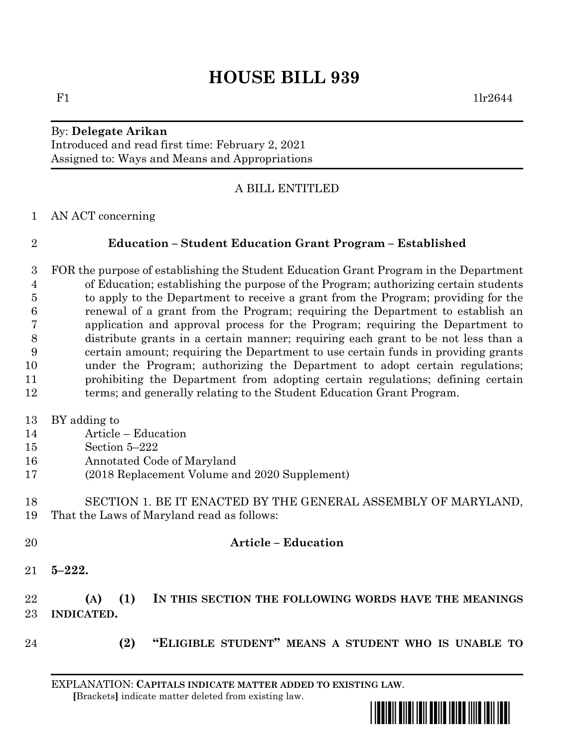# **HOUSE BILL 939**

# By: **Delegate Arikan**

Introduced and read first time: February 2, 2021 Assigned to: Ways and Means and Appropriations

#### A BILL ENTITLED

AN ACT concerning

## **Education – Student Education Grant Program – Established**

 FOR the purpose of establishing the Student Education Grant Program in the Department of Education; establishing the purpose of the Program; authorizing certain students to apply to the Department to receive a grant from the Program; providing for the renewal of a grant from the Program; requiring the Department to establish an application and approval process for the Program; requiring the Department to distribute grants in a certain manner; requiring each grant to be not less than a certain amount; requiring the Department to use certain funds in providing grants under the Program; authorizing the Department to adopt certain regulations; prohibiting the Department from adopting certain regulations; defining certain 12 terms; and generally relating to the Student Education Grant Program.

- BY adding to
- Article Education
- Section 5–222
- Annotated Code of Maryland
- (2018 Replacement Volume and 2020 Supplement)
- SECTION 1. BE IT ENACTED BY THE GENERAL ASSEMBLY OF MARYLAND, That the Laws of Maryland read as follows:
- **Article – Education**
- **5–222.**

## **(A) (1) IN THIS SECTION THE FOLLOWING WORDS HAVE THE MEANINGS INDICATED.**

- 
- **(2) "ELIGIBLE STUDENT" MEANS A STUDENT WHO IS UNABLE TO**

EXPLANATION: **CAPITALS INDICATE MATTER ADDED TO EXISTING LAW**.  **[**Brackets**]** indicate matter deleted from existing law.

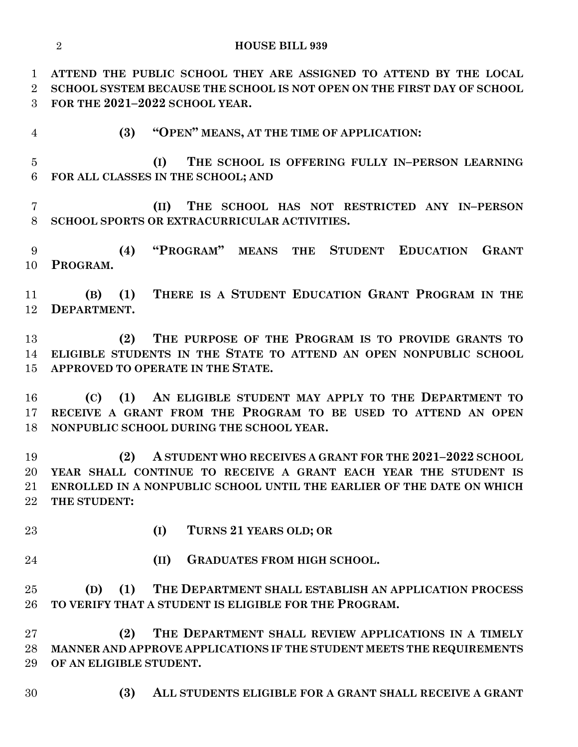**ATTEND THE PUBLIC SCHOOL THEY ARE ASSIGNED TO ATTEND BY THE LOCAL SCHOOL SYSTEM BECAUSE THE SCHOOL IS NOT OPEN ON THE FIRST DAY OF SCHOOL FOR THE 2021–2022 SCHOOL YEAR.**

**(3) "OPEN" MEANS, AT THE TIME OF APPLICATION:**

 **(I) THE SCHOOL IS OFFERING FULLY IN–PERSON LEARNING FOR ALL CLASSES IN THE SCHOOL; AND**

 **(II) THE SCHOOL HAS NOT RESTRICTED ANY IN–PERSON SCHOOL SPORTS OR EXTRACURRICULAR ACTIVITIES.**

 **(4) "PROGRAM" MEANS THE STUDENT EDUCATION GRANT PROGRAM.**

 **(B) (1) THERE IS A STUDENT EDUCATION GRANT PROGRAM IN THE DEPARTMENT.**

 **(2) THE PURPOSE OF THE PROGRAM IS TO PROVIDE GRANTS TO ELIGIBLE STUDENTS IN THE STATE TO ATTEND AN OPEN NONPUBLIC SCHOOL APPROVED TO OPERATE IN THE STATE.**

 **(C) (1) AN ELIGIBLE STUDENT MAY APPLY TO THE DEPARTMENT TO RECEIVE A GRANT FROM THE PROGRAM TO BE USED TO ATTEND AN OPEN NONPUBLIC SCHOOL DURING THE SCHOOL YEAR.**

 **(2) A STUDENT WHO RECEIVES A GRANT FOR THE 2021–2022 SCHOOL YEAR SHALL CONTINUE TO RECEIVE A GRANT EACH YEAR THE STUDENT IS ENROLLED IN A NONPUBLIC SCHOOL UNTIL THE EARLIER OF THE DATE ON WHICH THE STUDENT:**

**(I) TURNS 21 YEARS OLD; OR**

**(II) GRADUATES FROM HIGH SCHOOL.**

 **(D) (1) THE DEPARTMENT SHALL ESTABLISH AN APPLICATION PROCESS TO VERIFY THAT A STUDENT IS ELIGIBLE FOR THE PROGRAM.**

 **(2) THE DEPARTMENT SHALL REVIEW APPLICATIONS IN A TIMELY MANNER AND APPROVE APPLICATIONS IF THE STUDENT MEETS THE REQUIREMENTS OF AN ELIGIBLE STUDENT.**

**(3) ALL STUDENTS ELIGIBLE FOR A GRANT SHALL RECEIVE A GRANT**